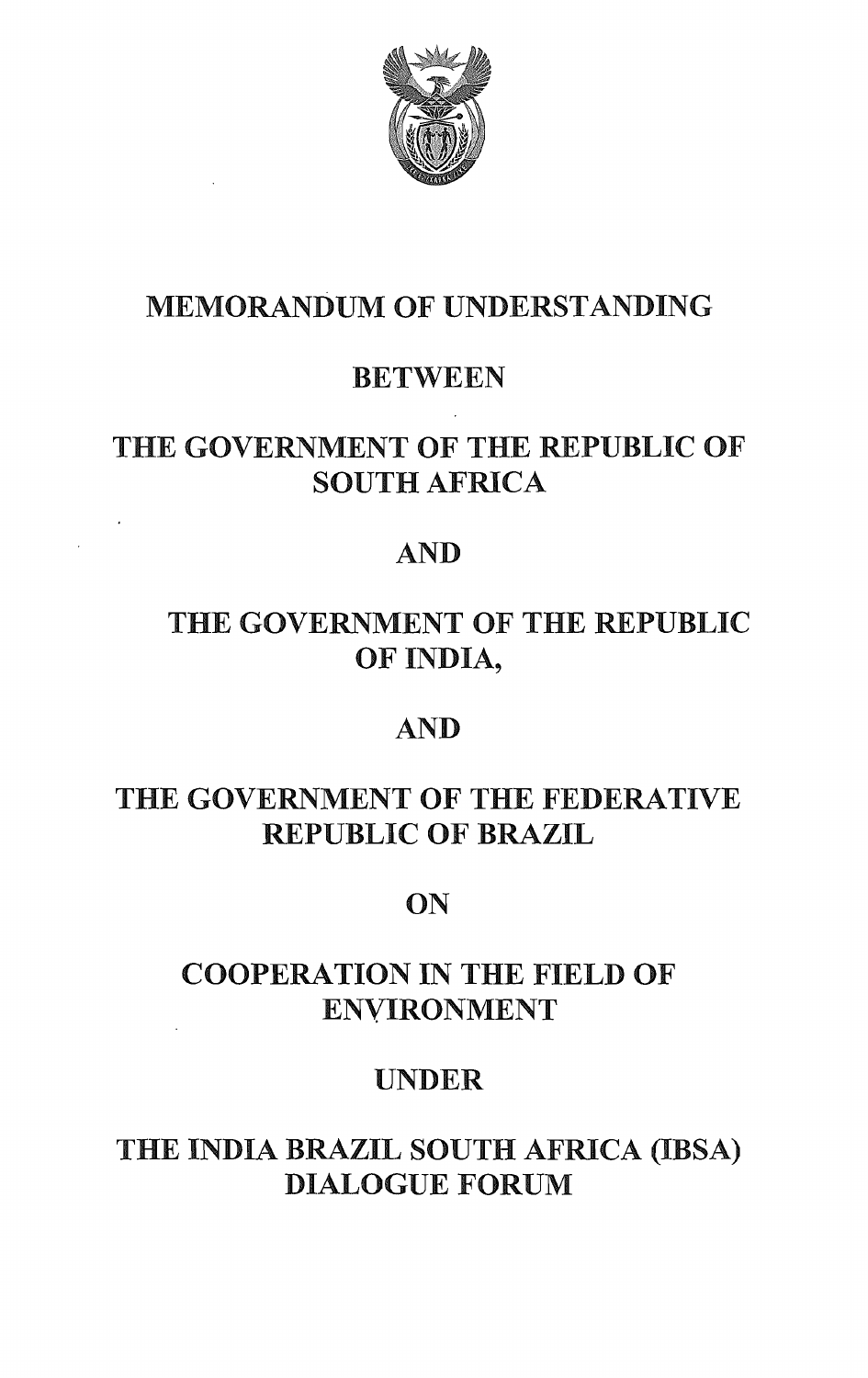

# MEMORANDUM OF UNDERSTANDING

# BETWEEN

# THE GOVERNMENT OF THE REPUBLIC OF SOUTH AFRICA

# AND

# THE GOVERNMENT OF THE REPUBLIC OF INDIA,

# AND

# THE GOVERNMENT OF THE FEDERATIVE REPUBLIC OF BRAZIL

# ON

# COOPERATION IN THE FIELD OF ENVIRONMENT

# UNDER

# THE INDIA BRAZIL SOUTH AFRICA (IBSA) DIALOGUE FORUM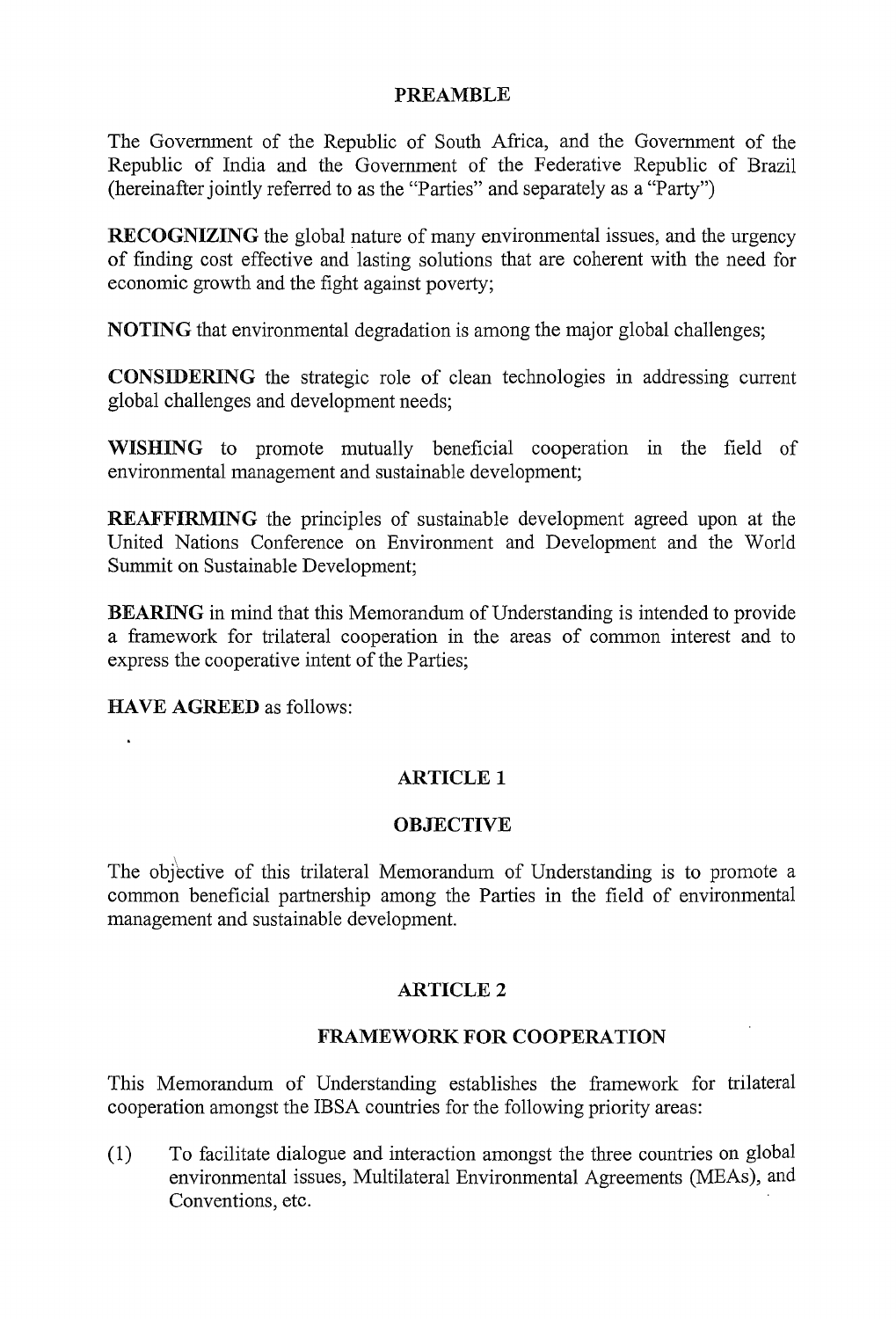### PREAMBLE

The Government of the Republic of South Africa, and the Government of the Republic of India and the Government of the Federative Republic of Brazil (hereinafter jointly referred to as the "Parties" and separately as a "Party")

RECOGNIZING the global nature of many environmental issues, and the urgency of finding cost effective and lasting solutions that are coherent with the need for economic growth and the fight against poverty;

NOTING that environmental degradation is among the major global challenges;

CONSIDERING the strategic role of clean technologies in addressing current global challenges and development needs;

WISHING to promote mutually beneficial cooperation in the field of environmental management and sustainable development;

REAFFIRMING the principles of sustainable development agreed upon at the United Nations Conference on Environment and Development and the World Summit on Sustainable Development;

BEARING in mind that this Memorandum of Understanding is intended to provide a framework for trilateral cooperation in the areas of common interest and to express the cooperative intent of the Parties;

HAVE AGREED as follows:

### ARTICLE 1

### **OBJECTIVE**

The objective of this trilateral Memorandum of Understanding is to promote a common beneficial partnership among the Parties in the field of environmental management and sustainable development.

### ARTICLE 2

### FRAMEWORK FOR COOPERATION

This Memorandum of Understanding establishes the framework for trilateral cooperation amongst the IBSA countries for the following priority areas:

(1) To facilitate dialogue and interaction amongst the three countries on global environmental issues, Multilateral Environmental Agreements (MEAs), and Conventions, etc.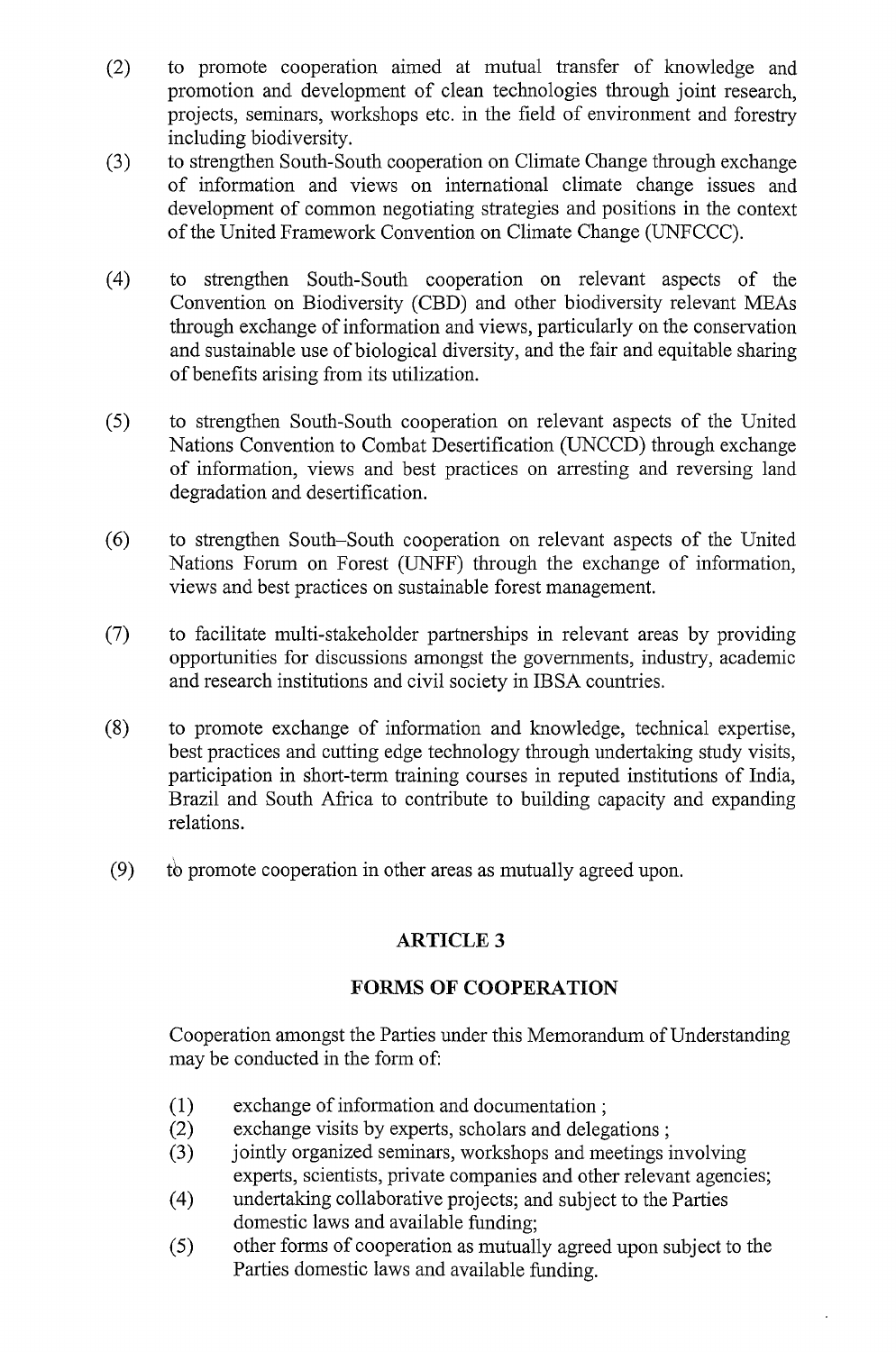- (2) to promote cooperation aimed at mutual transfer of knowledge and promotion and development of clean technologies through joint research, projects, seminars, workshops etc. in the field of environment and forestry including biodiversity.
- (3) to strengthen South-South cooperation on Climate Change through exchange of information and views on international climate change issues and development of common negotiating strategies and positions in the context of the United Framework Convention on Climate Change (UNFCCC).
- (4) to strengthen South-South cooperation on relevant aspects of the Convention on Biodiversity (CBD) and other biodiversity relevant MEAs through exchange of information and views, particularly on the conservation and sustainable use of biological diversity, and the fair and equitable sharing ofbenefits arising from its utilization.
- (5) to strengthen South-South cooperation on relevant aspects of the United Nations Convention to Combat Desertification (UNCCD) through exchange of information, views and best practices on arresting and reversing land degradation and desertification.
- (6) to strengthen South-South cooperation on relevant aspects of the United Nations Forum on Forest (UNFF) through the exchange of information, views and best practices on sustainable forest management.
- (7) to facilitate multi-stakeholder partnerships in relevant areas by providing opportunities for discussions amongst the governments, industry, academic and research institutions and civil society in IBSA countries.
- (8) to promote exchange of information and knowledge, technical expertise, best practices and cutting edge technology through undertaking study visits, participation in short-term training courses in reputed institutions of India, Brazil and South Africa to contribute to building capacity and expanding relations.
- (9) tb promote cooperation in other areas as mutually agreed upon.

### ARTICLE 3

### **FORMS OF COOPERATION**

Cooperation amongst the Parties under this Memorandum of Understanding may be conducted in the form of:

- (1) exchange of information and documentation;
- (2) exchange visits by experts, scholars and delegations;
- (3) jointly organized seminars, workshops and meetings involving experts, scientists, private companies and other relevant agencies;
- (4) undertaking collaborative projects; and subject to the Parties domestic laws and available funding;
- (5) other forms of cooperation as mutually agreed upon subject to the Parties domestic laws and available funding.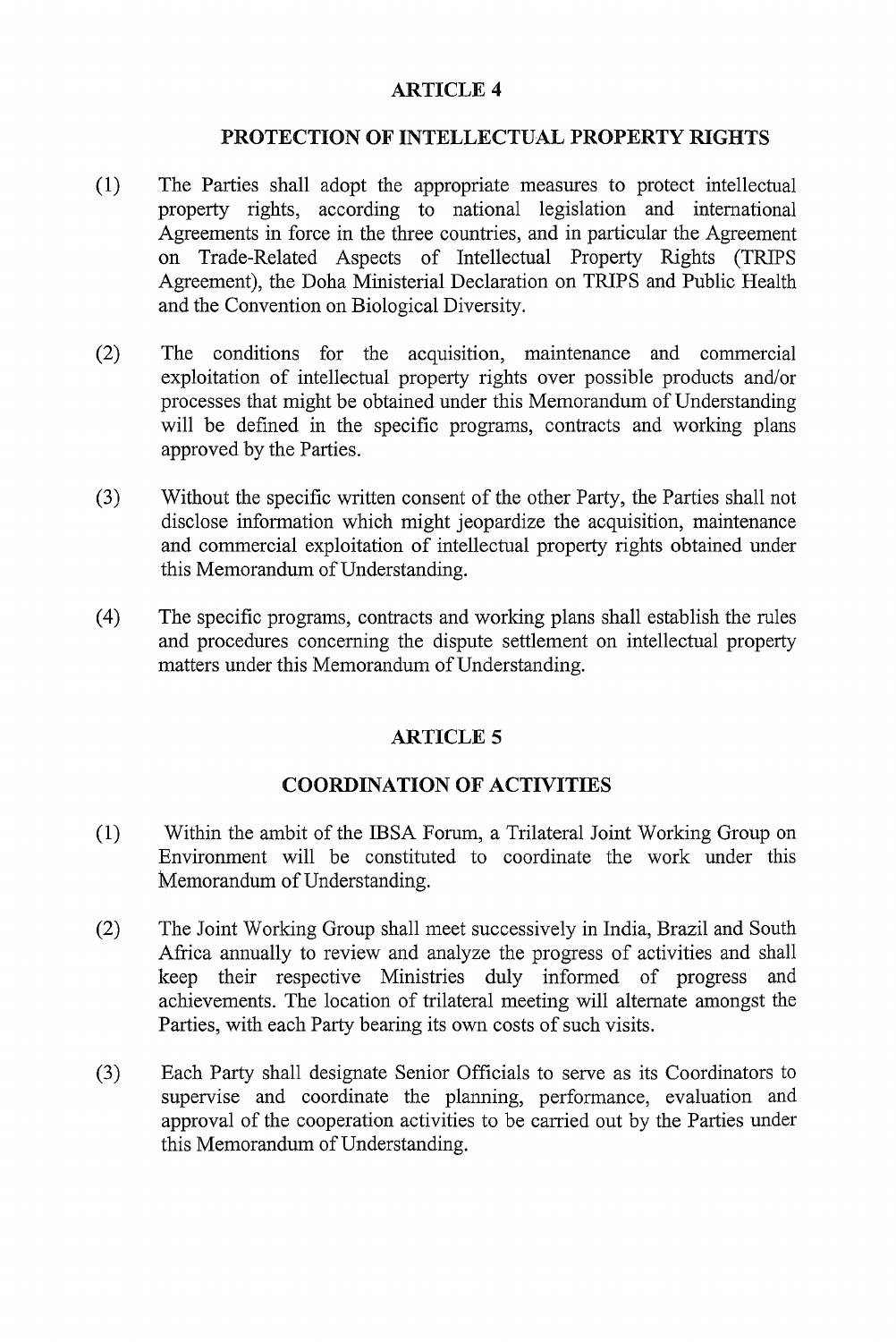### ARTICLE 4

### PROTECTION OF INTELLECTUAL PROPERTY RIGHTS

- (1) The Parties shall adopt the appropriate measures to protect intellectual property rights, according to national legislation and international Agreements in force in the three countries, and in particular the Agreement on Trade-Related Aspects of Intellectual Property Rights (TRIPS Agreement), the Doha Ministerial Declaration on TRIPS and Public Health and the Convention on Biological Diversity.
- (2) The conditions for the acquisition, maintenance and commercial exploitation of intellectual property rights over possible products and/or processes that might be obtained under this Memorandum of Understanding will be defined in the specific programs, contracts and working plans approved by the Parties.
- (3) Without the specific written consent of the other Party, the Parties shall not disclose information which might jeopardize the acquisition, maintenance and commercial exploitation of intellectual property rights obtained under this Memorandum of Understanding.
- (4) The specific programs, contracts and working plans shall establish the rules and procedures concerning the dispute settlement on intellectual property matters under this Memorandum of Understanding.

### ARTICLE 5

### COORDINATION OF ACTIVITIES

- (1) Within the ambit of the IBSA Forum, a Trilateral Joint Working Group on Environment will be constituted to coordinate the work under this Memorandum of Understanding.
- (2) The Joint Working Group shall meet successively in India, Brazil and South Africa annually to review and analyze the progress of activities and shall keep their respective Ministries duly informed of progress and achievements. The location of trilateral meeting will alternate amongst the Parties, with each Party bearing its own costs of such visits.
- (3) Each Party shall designate Senior Officials to serve as its Coordinators to supervise and coordinate the planning, performance, evaluation and approval of the cooperation activities to be carried out by the Parties under this Memorandum of Understanding.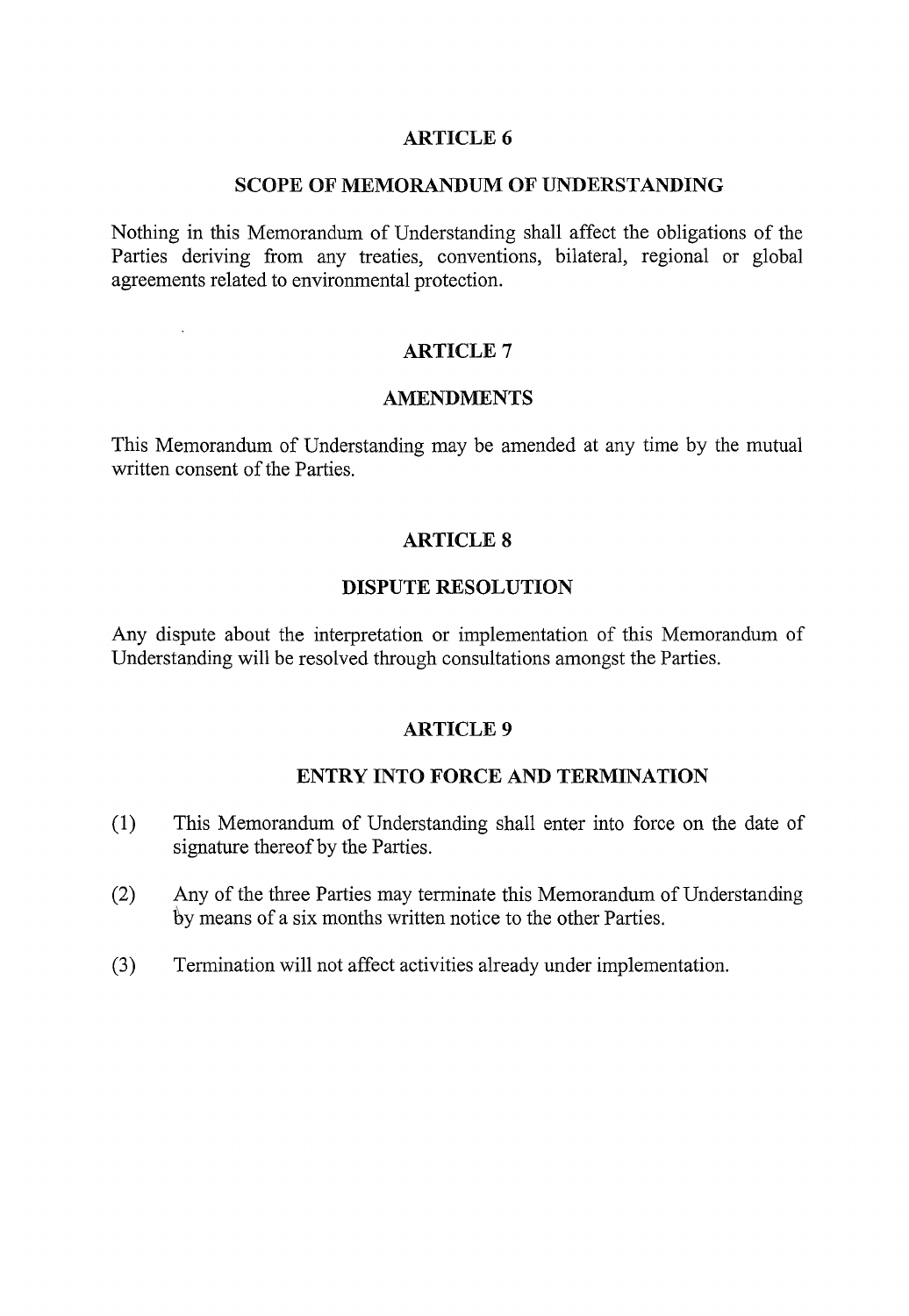### ARTICLE 6

#### SCOPE OF MEMORANDUM OF UNDERSTANDING

Nothing in this Memorandum of Understanding shall affect the obligations of the Parties deriving from any treaties, conventions, bilateral, regional or global agreements related to environmental protection.

### ARTICLE 7

 $\mathbf{r}$ 

#### AMENDMENTS

This Memorandum of Understanding may be amended at any time by the mutual written consent of the Parties.

### ARTICLE 8

### DISPUTE RESOLUTION

Any dispute about the interpretation or implementation of this Memorandum of Understanding will be resolved through consultations amongst the Parties.

#### ARTICLE 9

### ENTRY INTO FORCE AND TERMINATION

- (l) This Memorandum of Understanding shall enter into force on the date of signature thereof by the Parties.
- (2) Any of the three Parties may terminate this Memorandum of Understanding by means of a six months written notice to the other Parties.
- (3) Termination will not affect activities already under implementation.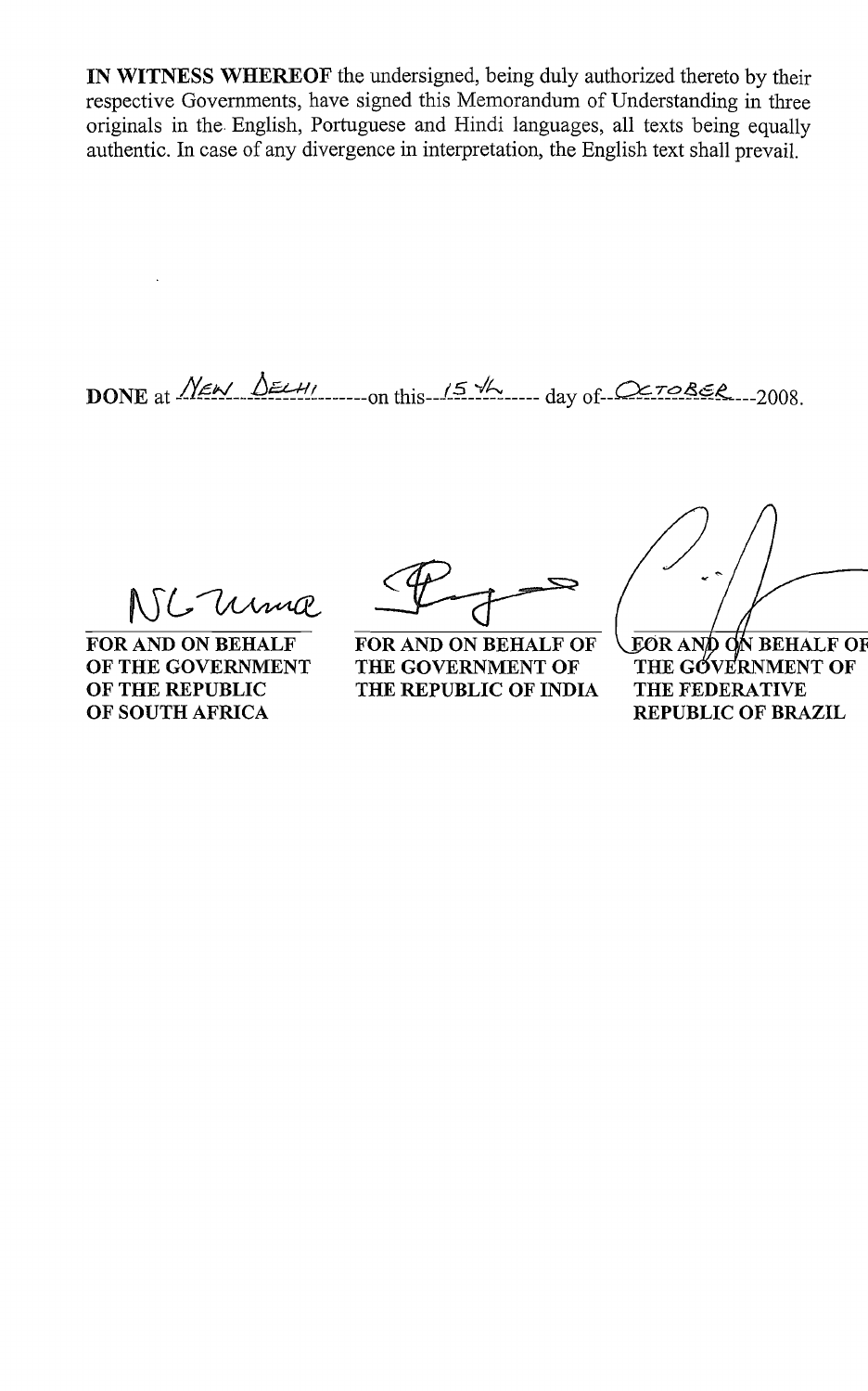IN WITNESS WHEREOF the undersigned, being duly authorized thereto by their respective Governments, have signed this Memorandum of Understanding in three originals in the. English, Portuguese and Hindi languages, all texts being equally authentic. In case of any divergence in interpretation, the English text shall prevail.

DONE at NEW DELHI on this 15 th day of OCTOBER 2008.

NIC Uma

FOR AND ON BEHALF OF THE GOVERNMENT OF THE REPUBLIC OF SOUTH AFRICA

FOR AND ON BEHALF OF THE GOVERNMENT OF THE REPUBLIC OF INDIA

**EOR AND ON BEHALF OF** THE GOVERNMENT OF THE FEDERATIVE REPUBLIC OF BRAZIL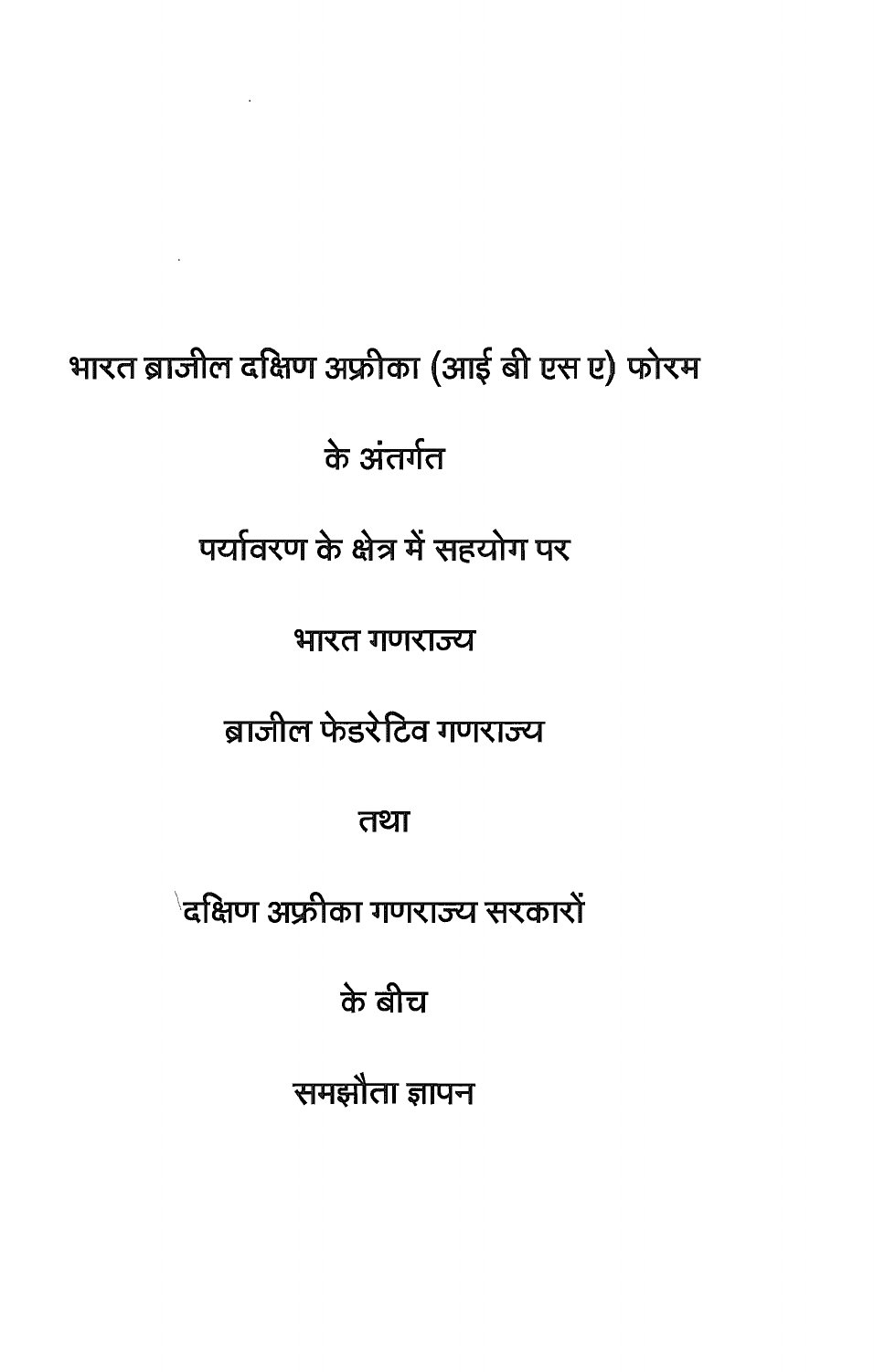# भारत ब्राजील दक्षिण अफ्रीका (आई बी एस ए) फोरम

 $\mathcal{L}^{\mathcal{L}}(\mathcal{L}^{\mathcal{L}}(\mathcal{L}^{\mathcal{L}}(\mathcal{L}^{\mathcal{L}}(\mathcal{L}^{\mathcal{L}}(\mathcal{L}^{\mathcal{L}}(\mathcal{L}^{\mathcal{L}}(\mathcal{L}^{\mathcal{L}}(\mathcal{L}^{\mathcal{L}}(\mathcal{L}^{\mathcal{L}}(\mathcal{L}^{\mathcal{L}}(\mathcal{L}^{\mathcal{L}}(\mathcal{L}^{\mathcal{L}}(\mathcal{L}^{\mathcal{L}}(\mathcal{L}^{\mathcal{L}}(\mathcal{L}^{\mathcal{L}}(\mathcal{L}^{\mathcal{L$ 

के अंतर्गत

पर्यावरण के क्षेत्र में सहयोग पर

भारत गणराज्य

ब्राजील फेडरेटिव गणराज्य

तथा

ेदक्षिण अफ्रीका गणराज्य सरकारों

के बीच

समझौता ज्ञापन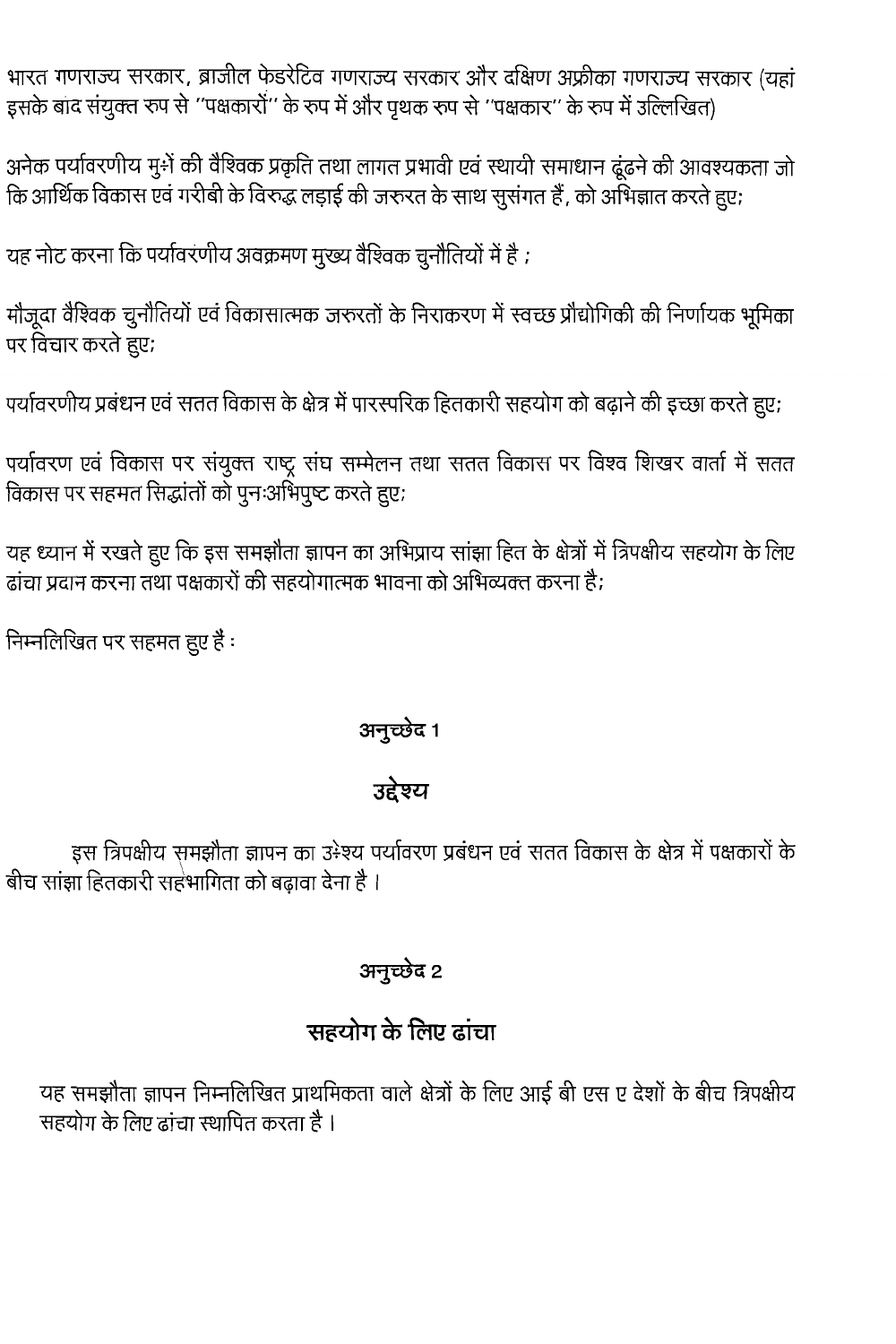भारत गणराज्य सरकार, ब्राजील फेडरेटिव गणराज्य सरकार और दक्षिण अफ्रीका गणराज्य सरकार (यहां इसके बाद संयुक्त रुप से ''पक्षकारों'' के रुप में और पृथक रुप से ''पक्षकार'' के रुप में उल्लिखित)

अनेक पर्यावरणीय मु÷ों की वैश्विक प्रकृति तथा लागत प्रभावी एवं स्थायी समाधान ढूंढने की आवश्यकता जो कि आर्थिक विकास एवं गरीबी के विरुद्ध लड़ाई की जरुरत के साथ सुसंगत हैं, को अभिज्ञात करते हुए;

यह नोट करना कि पर्यावरणीय अवक्रमण मुख्य वैश्विक चुनौतियों में है ;

मौजूदा वैश्विक चुनौतियों एवं विकासात्मक जरुरतों के निराकरण में स्वच्छ प्रौद्योगिकी की निर्णायक भूमिका पर विचार करते हुए;

पर्यावरणीय प्रबंधन एवं सतत विकास के क्षेत्र में पारस्परिक हितकारी सहयोग को बढ़ाने की इच्छा करते हुए;

पर्यावरण एवं विकास पर संयुक्त राष्ट्र संघ सम्मेलन तथा सतत विकास पर विश्व शिखर वार्ता में सतत विकास पर सहमत सिद्धांतों को पुनःअभिपुष्ट करते हुए;

यह ध्यान में रखते हुए कि इस समझौता ज्ञापन का अभिप्राय सांझा हित के क्षेत्रों में त्रिपक्षीय सहयोग के लिए ढांचा प्रदान करना तथा पक्षकारों की सहयोगात्मक भावना को अभिव्यक्त करना है;

निम्नलिखित पर सहमत हुए हैं:

### अनुच्छेद 1

### उद्देश्य

इस त्रिपक्षीय समझौता ज्ञापन का उ÷श्य पर्यावरण प्रबंधन एवं सतत विकास के क्षेत्र में पक्षकारों के बीच सांझा हितकारी सहभागिता को बढावा देना है ।

### अनृच्छेद २

## सहयोग के लिए ढांचा

यह समझौता ज्ञापन निम्नलिखित प्राथमिकता वाले क्षेत्रों के लिए आई बी एस ए देशों के बीच त्रिपक्षीय सहयोग के लिए ढांचा स्थापित करता है ।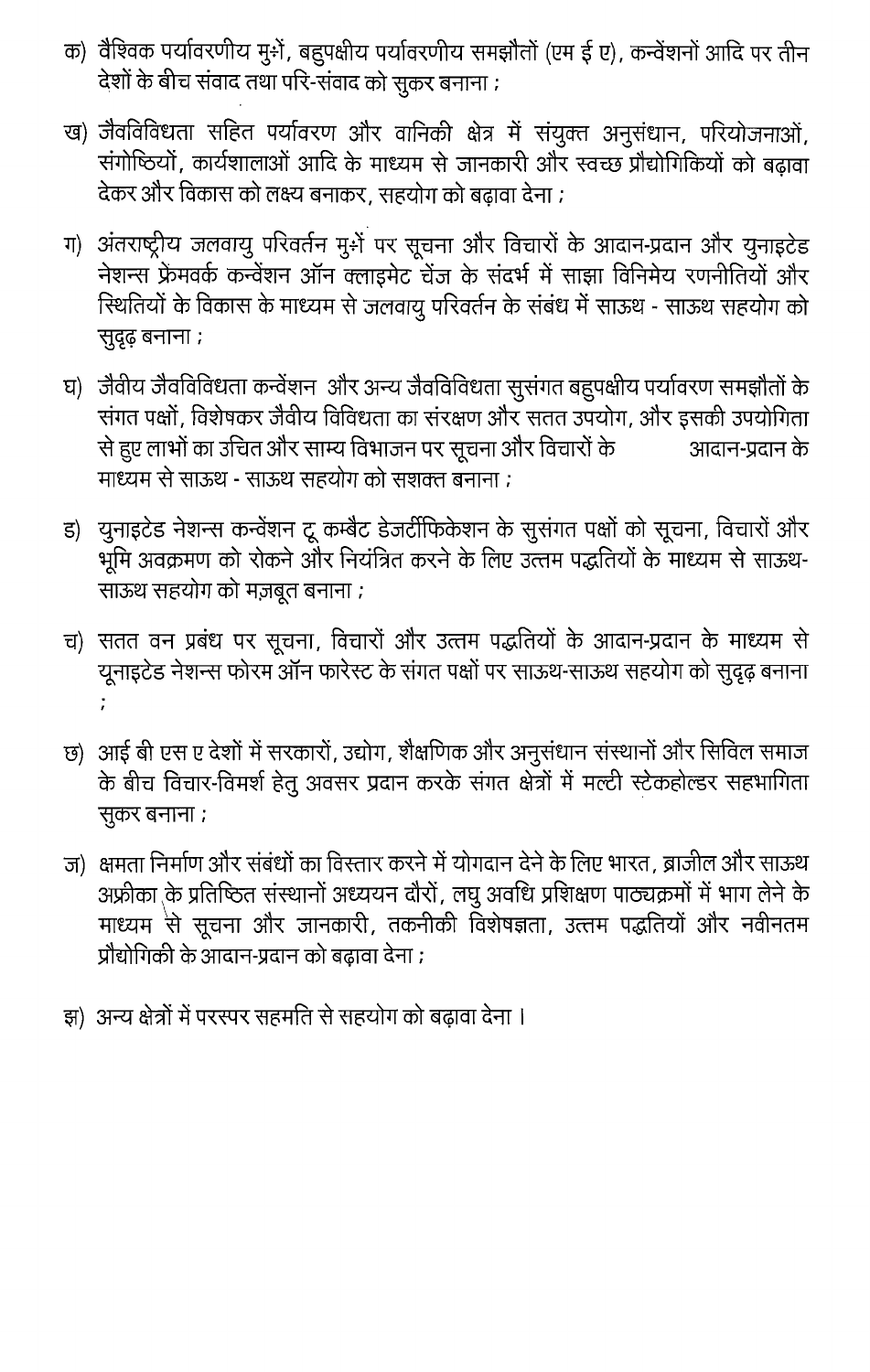- क) वैश्विक पर्यावरणीय मु÷ों, बहुपक्षीय पर्यावरणीय समझौतों (एम ई ए), कन्वेंशनों आदि पर तीन देशों के बीच संवाद तथा परि-संवाद को सुकर बनाना ;
- ख) जैवविविधता सहित पर्यावरण और वानिकी क्षेत्र में संयुक्त अनुसंधान, परियोजनाओं, संगोष्ठियों, कार्यशालाओं आदि के माध्यम से जानकारी और स्वच्छ प्रौद्योगिकियों को बढ़ावा देकर और विकास को लक्ष्य बनाकर, सहयोग को बढ़ावा देना ;
- ग) अंतराष्ट्रीय जलवायु परिवर्तन मुमें पर सूचना और विचारों के आदान-प्रदान और युनाइटेड नेशन्स फ्रेमवर्क कन्वेंशन ऑन क्लाइमेट चेंज के संदर्भ में साझा विनिमेय रणनीतियों और स्थितियों के विकास के माध्यम से जलवायु परिवर्तन के संबंध में साऊथ - साऊथ सहयोग को सुदृढ़ बनाना ;
- घ) जैवीय जैवविविधता कन्वेंशन और अन्य जैवविविधता सुसंगत बहुपक्षीय पर्यावरण समझौतों के संगत पक्षों, विशेषकर जैवीय विविधता का संरक्षण और सतत उपयोग, और इसकी उपयोगिता से हुए लाभों का उचित और साम्य विभाजन पर सूचना और विचारों के आदान-प्रदान के माध्यम से साऊथ - साऊथ सहयोग को सशक्त बनाना ;
- ड) युनाइटेड नेशन्स कन्वेंशन टू कम्बैट डेजर्टीफिकेशन के सुसंगत पक्षों को सूचना, विचारों और भूमि अवक्रमण को रोकने और नियंत्रित करने के लिए उत्तम पद्धतियों के माध्यम से साऊथ-साऊथ सहयोग को मज़बूत बनाना ;
- च) सतत वन प्रबंध पर सूचना, विचारों और उत्तम पद्धतियों के आदान-प्रदान के माध्यम से यूनाइटेड नेशन्स फोरम ऑन फारेस्ट के संगत पक्षों पर साऊथ-साऊथ सहयोग को सुदृढ़ बनाना ÷
- छ)) आई बी एस ए देशों में सरकारों, उद्योग, शैक्षणिक और अनुसंधान संस्थानों और सिविल समाज के बीच विचार-विमर्श हेतु अवसर प्रदान करके संगत क्षेत्रों में मल्टी स्टेकहोल्डर सहभागिता सुकर बनाना ;
- ज) क्षमता निर्माण और संबंधों का विस्तार करने में योगदान देने के लिए भारत, ब्राजील और साऊथ अफ्रीका के प्रतिष्ठित संस्थानों अध्ययन दौरों, लघु अवधि प्रशिक्षण पाठ्यक्रमों में भाग लेने के माध्यम<sup>े</sup>से सूचना और जानकारी, तकनीकी विशेषज्ञता, उत्तम पद्धतियों और नवीनतम प्रौद्योगिकी के आदान-प्रदान को बढावा देना ;
- झ) अन्य क्षेत्रों में परस्पर सहमति से सहयोग को बढ़ावा देना ।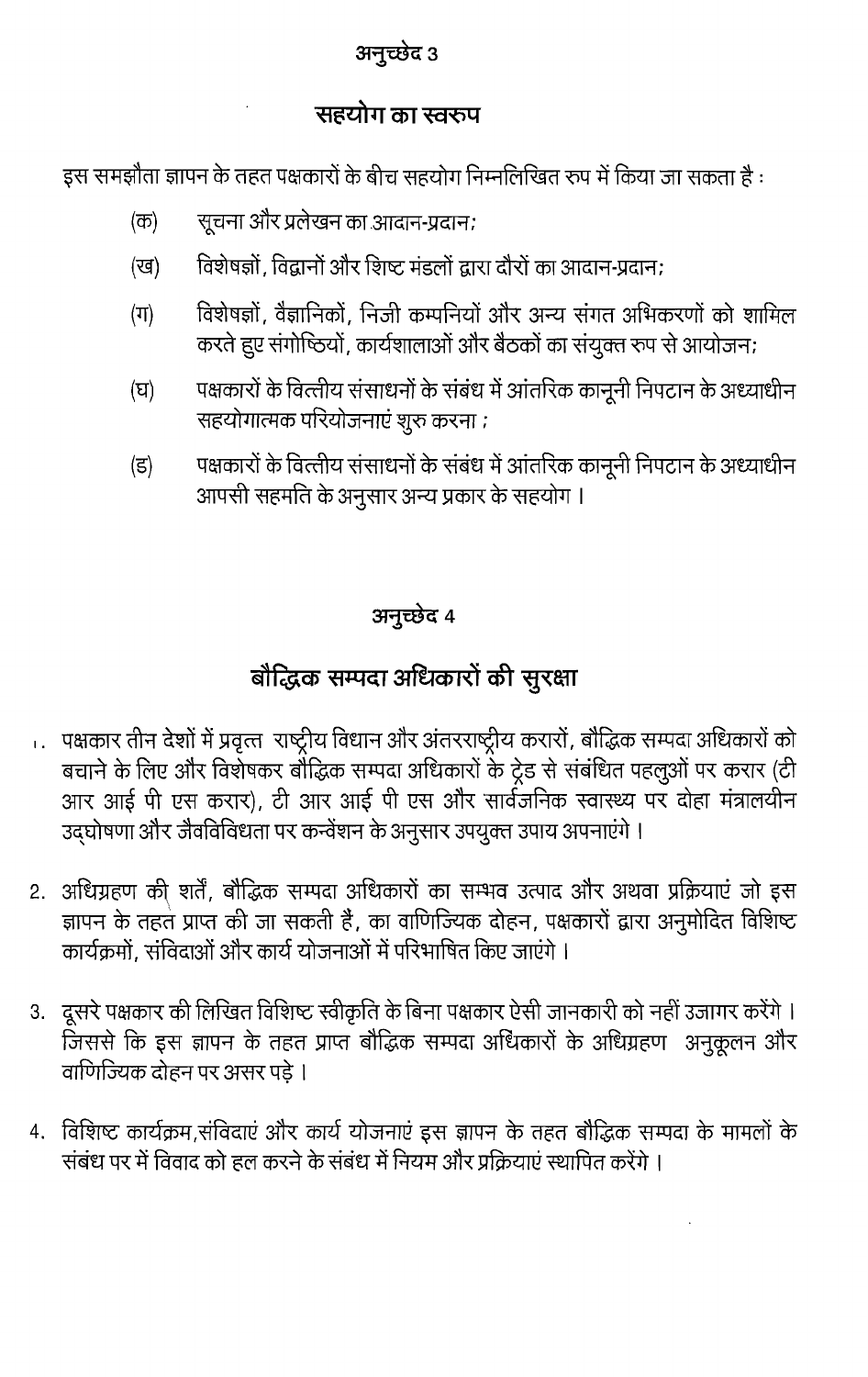### अनुच्छेद 3

### सहयोग का स्वरुप

इस समझौता ज्ञापन के तहत पक्षकारों के बीच सहयोग निम्नलिखित रूप में किया जा सकता है :

- सूचना और प्रलेखन का आदान-प्रदान;  $(\overline{\sigma})$
- विशेषज्ञों, विद्वानों और शिष्ट मंडलों द्वारा दौरों का आदान-प्रदान: (ख)
- विशेषज्ञों, वैज्ञानिकों, निजी कम्पनियों और अन्य संगत अभिकरणों को शामिल  $(\Pi)$ करते हुए संगोष्ठियों, कार्यशालाओं और बैठकों का संयुक्त रुप से आयोजन;
- पक्षकारों के वित्तीय संसाधनों के संबंध में आंतरिक कानूनी निपटान के अध्याधीन (घ) सहयोगात्मक परियोजनाएं शुरु करना ;
- पक्षकारों के वित्तीय संसाधनों के संबंध में आंतरिक कानूनी निपटान के अध्याधीन (इ) आपसी सहमति के अनुसार अन्य प्रकार के सहयोग ।

### अनुच्छेद 4

# बौद्धिक सम्पदा अधिकारों की सुरक्षा

- ... पक्षकार तीन देशों में प्रवृत्त राष्ट्रीय विधान और अंतरराष्ट्रीय करारों, बौद्धिक सम्पदा अधिकारों को बचाने के लिए और विशेषकर बौद्धिक सम्पदा अधिकारों के ट्रेड से संबंधित पहलुओं पर करार (टी आर आई पी एस करार), टी आर आई पी एस और सार्वजनिक स्वास्थ्य पर दोहा मंत्रालयीन उद्घोषणा और जैवविविधता पर कन्वेंशन के अनुसार उपयुक्त उपाय अपनाएंगे।
- 2. अधिग्रहण की शर्तें, बौद्धिक सम्पदा अधिकारों का सम्भव उत्पाद और अथवा प्रक्रियाएं जो इस ज्ञापन के तहत प्राप्त की जा सकती है, का वाणिज्यिक दोहन, पक्षकारों द्वारा अनुमोदित विशिष्ट कार्यक्रमों, संविदाओं और कार्य योजनाओं में परिभाषित किए जाएंगे ।
- 3. दूसरे पक्षकार की लिखित विशिष्ट स्वीकृति के बिना पक्षकार ऐसी जानकारी को नहीं उजागर करेंगे। जिससे कि इस ज्ञापन के तहत प्राप्त बौद्धिक सम्पदा अधिकारों के अधिग्रहण अनुकूलन और वाणिज्यिक दोहन पर असर पडे ।
- 4. विशिष्ट कार्यक्रम,संविदाएं और कार्य योजनाएं इस ज्ञापन के तहत बौद्धिक सम्पदा के मामलों के संबंध पर में विवाद को हल करने के संबंध में नियम और प्रक्रियाएं स्थापित करेंगे ।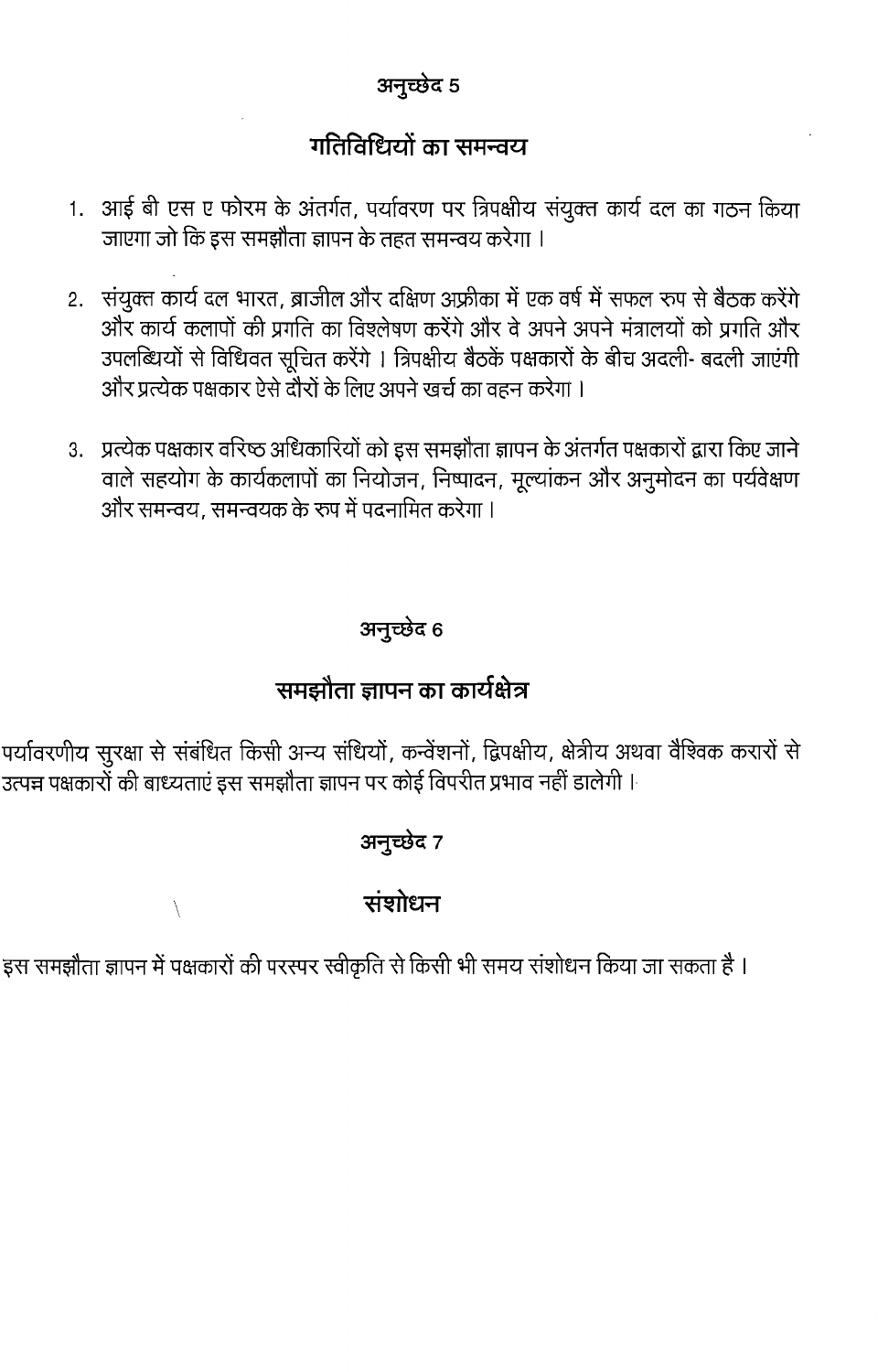### अनुच्छेद 5

### गतिविधियों का समन्वय

- 1. आई बी एस ए फोरम के अंतर्गत, पर्यावरण पर त्रिपक्षीय संयुक्त कार्य दल का गठन किया जाएगा जो कि इस समझौता ज्ञापन के तहत समन्वय करेगा ।
- 2. संयुक्त कार्य दल भारत, ब्राजील और दक्षिण अफ्रीका में एक वर्ष में सफल रूप से बैठक करेंगे और कार्य कलापों की प्रगति का विश्लेषण करेंगे और वे अपने अपने मंत्रालयों को प्रगति और उपलब्धियों से विधिवत सूचित करेंगे । त्रिपक्षीय बैठकें पक्षकारों के बीच अदली- बदली जाएंगी और प्रत्येक पक्षकार ऐसे दोरों के लिए अपने खर्च का वहन करेगा ।
- 3. प्रत्येक पक्षकार वरिष्ठ अधिकारियों को इस समझौता ज्ञापन के अंतर्गत पक्षकारों द्वारा किए जाने वाले सहयोग के कार्यकलापों का नियोजन, निष्पादन, मूल्यांकन और अनुमोदन का पर्यवेक्षण और समन्वय. समन्वयक के रुप में पदनामित करेगा ।

### अनुच्छेद 6

### समझौता ज्ञापन का कार्यक्षेत्र

पर्यावरणीय सुरक्षा से संबंधित किसी अन्य संधियों, कन्वेंशनों, द्विपक्षीय, क्षेत्रीय अथवा वैश्विक करारों से उत्पन्न पक्षकारों की बाध्यताएं इस समझौता ज्ञापन पर कोई विपरीत प्रभाव नहीं डालेगी ।

### अनुच्छेद 7

### संशोधन

इस समझौता ज्ञापन में पक्षकारों की परस्पर स्वीकृति से किसी भी समय संशोधन किया जा सकता है ।

 $\setminus$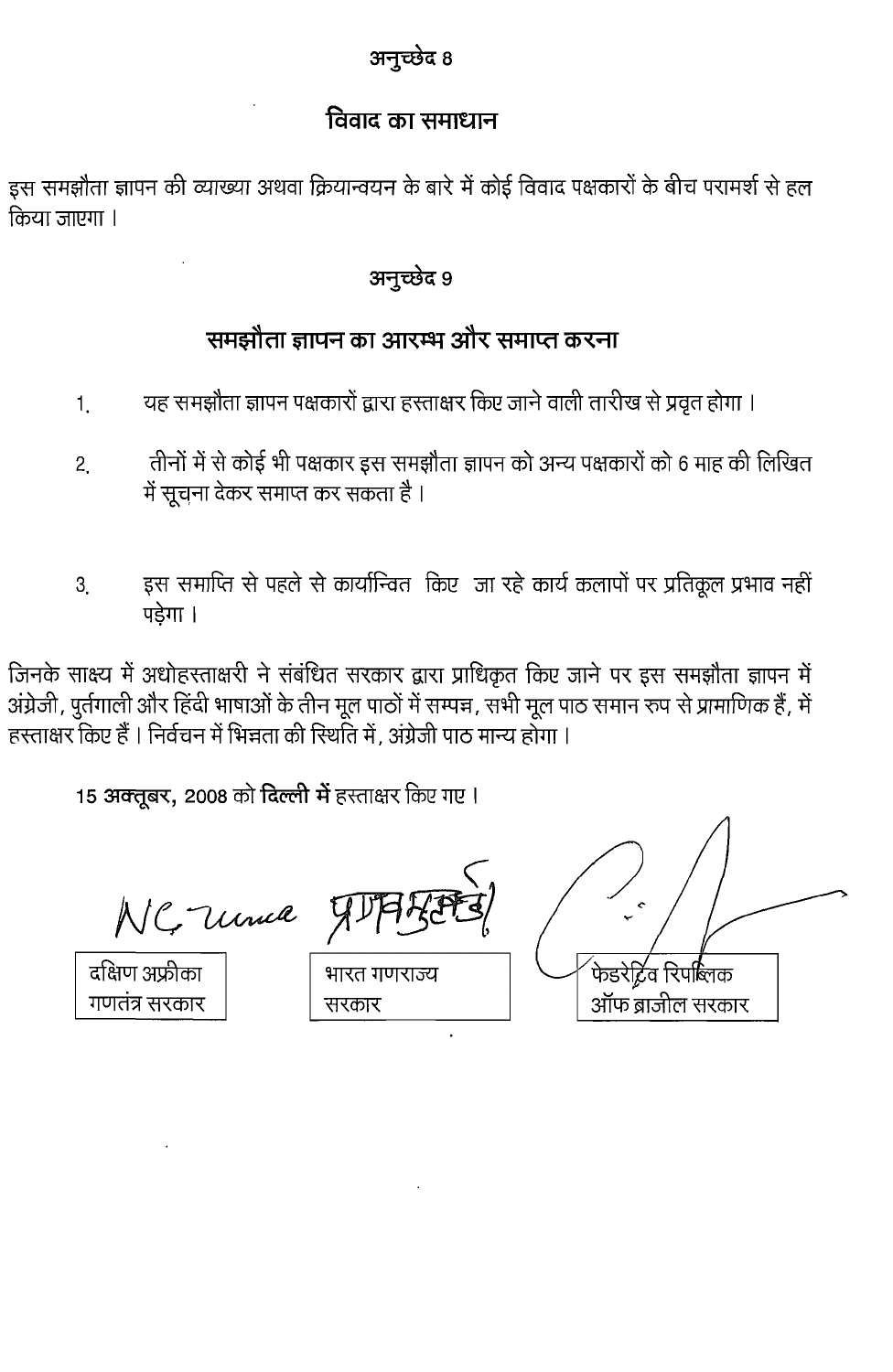### अनुच्छेद 8

### विवाद का समाधान

इस समझौता ज्ञापन की व्याख्या अथवा क्रियान्वयन के बारे में कोई विवाद पक्षकारों के बीच परामर्श से हल किया जाएगा ।

### अनुच्छेद 9

### समझौता ज्ञापन का आरम्भ और समाप्त करना

- यह समझौता ज्ञापन पक्षकारों द्वारा हस्ताक्षर किए जाने वाली तारीख से प्रवृत होगा । 1.
- तीनों में से कोई भी पक्षकार इस समझौता ज्ञापन को अन्य पक्षकारों को 6 माह की लिखित  $2<sub>1</sub>$ में सूचना देकर समाप्त कर सकता है ।
- इस समाप्ति से पहले से कार्यान्वित किए जा रहे कार्य कलापों पर प्रतिकूल प्रभाव नहीं 3 पडेगा ।

जिनके साक्ष्य में अधोहस्ताक्षरी ने संबंधित सरकार द्वारा प्राधिकृत किए जाने पर इस समझौता ज्ञापन में अंग्रेजी, पुर्तगाली और हिंदी भाषाओं के तीन मूल पाठों में सम्पन्न, सभी मूल पाठ समान रुप से प्रामाणिक हैं, में हस्ताक्षर किए हैं । निर्वचन में भिन्नता की रिर्थात में, अंग्रेजी पाठ मान्य होगा ।

15 अक्तूबर, 2008 को दिल्ली में हस्ताक्षर किए गए।

NC Unia

दक्षिण अफ्रीका गणतंत्र सरकार

| भारत गणराज्य |
|--------------|

ऑफ ब्राजील सरकार

सरकार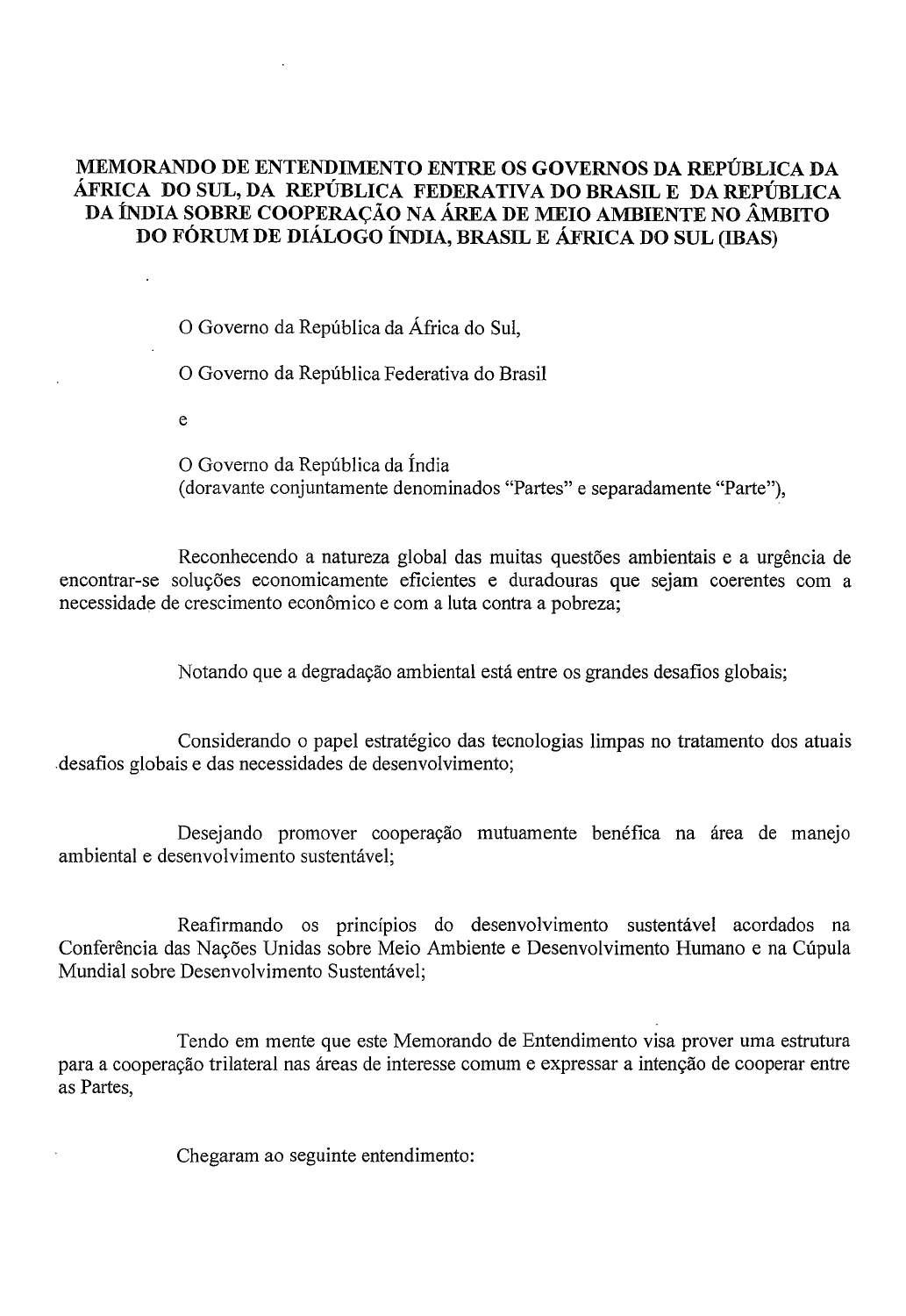### MEMORANDO DE ENTENDIMENTO ENTRE OS GOVERNOS DA REPUBLICA DA AFRICA DO SUL, DA REPUBLICA FEDERATIVA DO BRASIL E DA REPUBLICA DA ÍNDIA SOBRE COOPERAÇÃO NA ÁREA DE MEIO AMBIENTE NO ÂMBITO DO FORUM DE DIALOGO INDIA, BRASIL E AFRICA DO SUL (IBAS)

o Governo da Republica da Africa do SuI,

o Governo da Republica Federativa do Brasil

e

O Governo da República da Índia (doravante conjuntamente denominados "Partes" e separadamente "Parte"),

Reconhecendo a natureza global das muitas questões ambientais e a urgência de encontrar-se soluções economicamente eficientes e duradouras que sejam coerentes com a necessidade de crescimento econômico e com a luta contra a pobreza;

Notando que a degradação ambiental está entre os grandes desafios globais;

Considerando o papel estratégico das tecnologias limpas no tratamento dos atuais .desafios globais e das necessidades de desenvolvimento;

Desejando promover cooperação mutuamente benéfica na área de manejo ambiental e desenvolvimento sustentavel;

Reafirmando os princípios do desenvolvimento sustentável acordados na Conferência das Nações Unidas sobre Meio Ambiente e Desenvolvimento Humano e na Cúpula Mundial sobre Desenvolvimento Sustentável;

Tendo em mente que este Memorando de Entendimento visa prover uma estrutura para a cooperação trilateral nas áreas de interesse comum e expressar a intenção de cooperar entre as Partes,

Chegaram ao seguinte entendimento: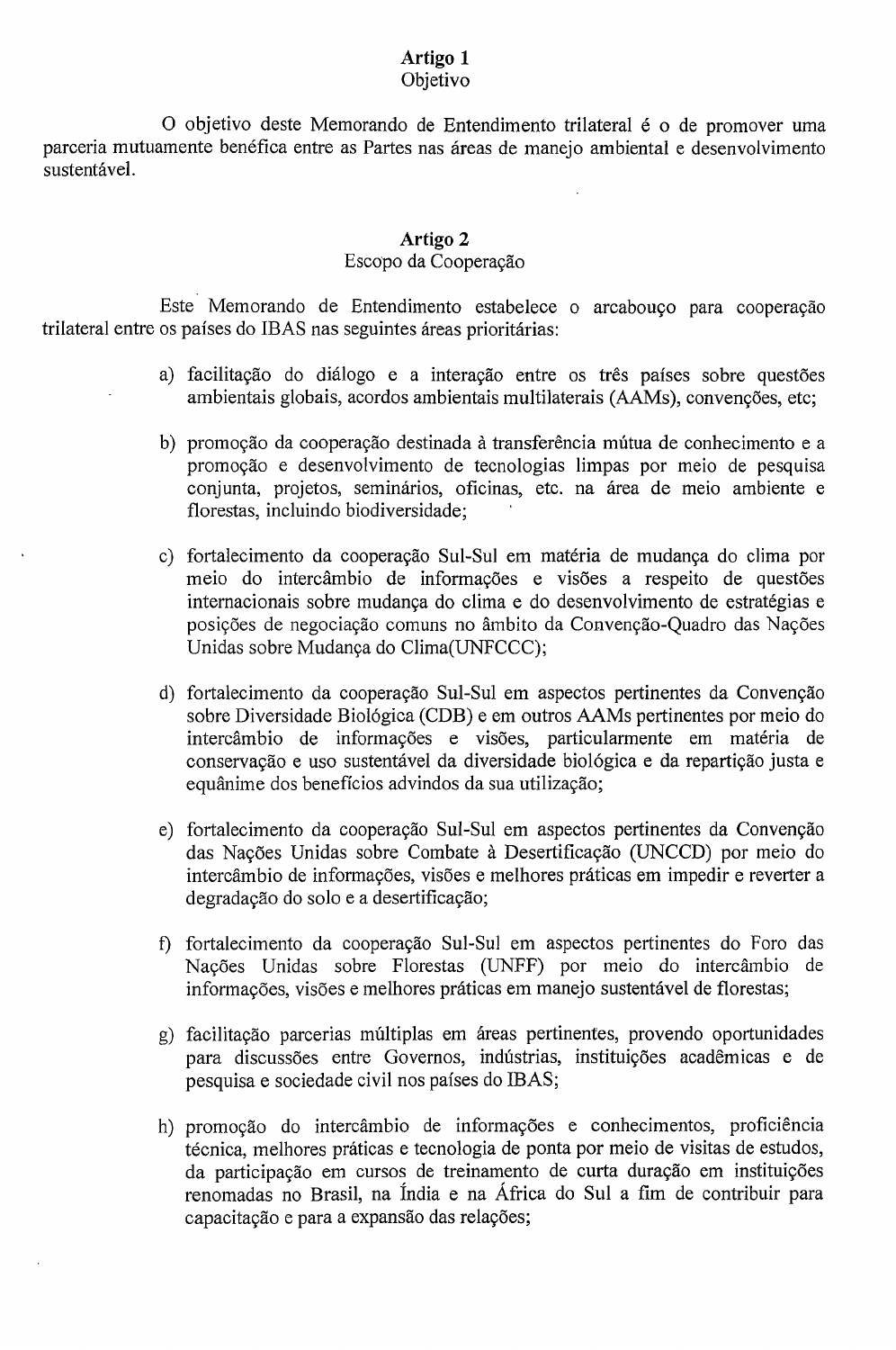#### **Artigo 1** Objetivo

O objetivo deste Memorando de Entendimento trilateral é o de promover uma parceria mutuamente benéfica entre as Partes nas áreas de manejo ambiental e desenvolvimento sustentável.

### **Artigo** 2

#### Escopo da Cooperayao

Este Memorando de Entendimento estabelece o arcabouço para cooperação trilateral entre os países do IBAS nas seguintes áreas prioritárias:

- a) facilitação do diálogo e a interação entre os três países sobre questões ambientais globais, acordos ambientais multilaterais (AAMs), convenções, etc;
- b) promoção da cooperação destinada à transferência mútua de conhecimento e a promoyao e desenvolvimento de tecnologias limpas por meio de pesquisa conjunta, projetos, seminários, oficinas, etc. na área de meio ambiente e florestas, incluindo biodiversidade;
- c) fortalecimento da cooperação Sul-Sul em matéria de mudança do clima por meio do intercâmbio de informações e visões a respeito de questões internacionais sobre mudança do clima e do desenvolvimento de estratégias e posições de negociação comuns no âmbito da Convenção-Quadro das Nações Unidas sobre Mudanya do Clima(UNFCCC);
- d) fortalecimento da cooperação Sul-Sul em aspectos pertinentes da Convenção sobre Diversidade BioI6gica (CDB) e em outros AAMs pertinentes por meio do intercambio de informayoes e visoes, particularmente em materia de conservação e uso sustentável da diversidade biológica e da repartição justa e equânime dos benefícios advindos da sua utilização;
- e) fortalecimento da cooperação Sul-Sul em aspectos pertinentes da Convenção das Nações Unidas sobre Combate à Desertificação (UNCCD) por meio do intercâmbio de informações, visões e melhores práticas em impedir e reverter a degradação do solo e a desertificação;
- f) fortalecimento da cooperação Sul-Sul em aspectos pertinentes do Foro das Nações Unidas sobre Florestas (UNFF) por meio do intercâmbio de informações, visões e melhores práticas em manejo sustentável de florestas;
- g) facilitação parcerias múltiplas em áreas pertinentes, provendo oportunidades para discussões entre Governos, indústrias, instituições acadêmicas e de pesquisa e sociedade civil nos pafses do IBAS;
- h) promoção do intercâmbio de informações e conhecimentos, proficiência técnica, melhores práticas e tecnologia de ponta por meio de visitas de estudos, da participação em cursos de treinamento de curta duração em instituições renomadas no Brasil, na India e na Africa do SuI a fim de contribuir para capacitação e para a expansão das relações;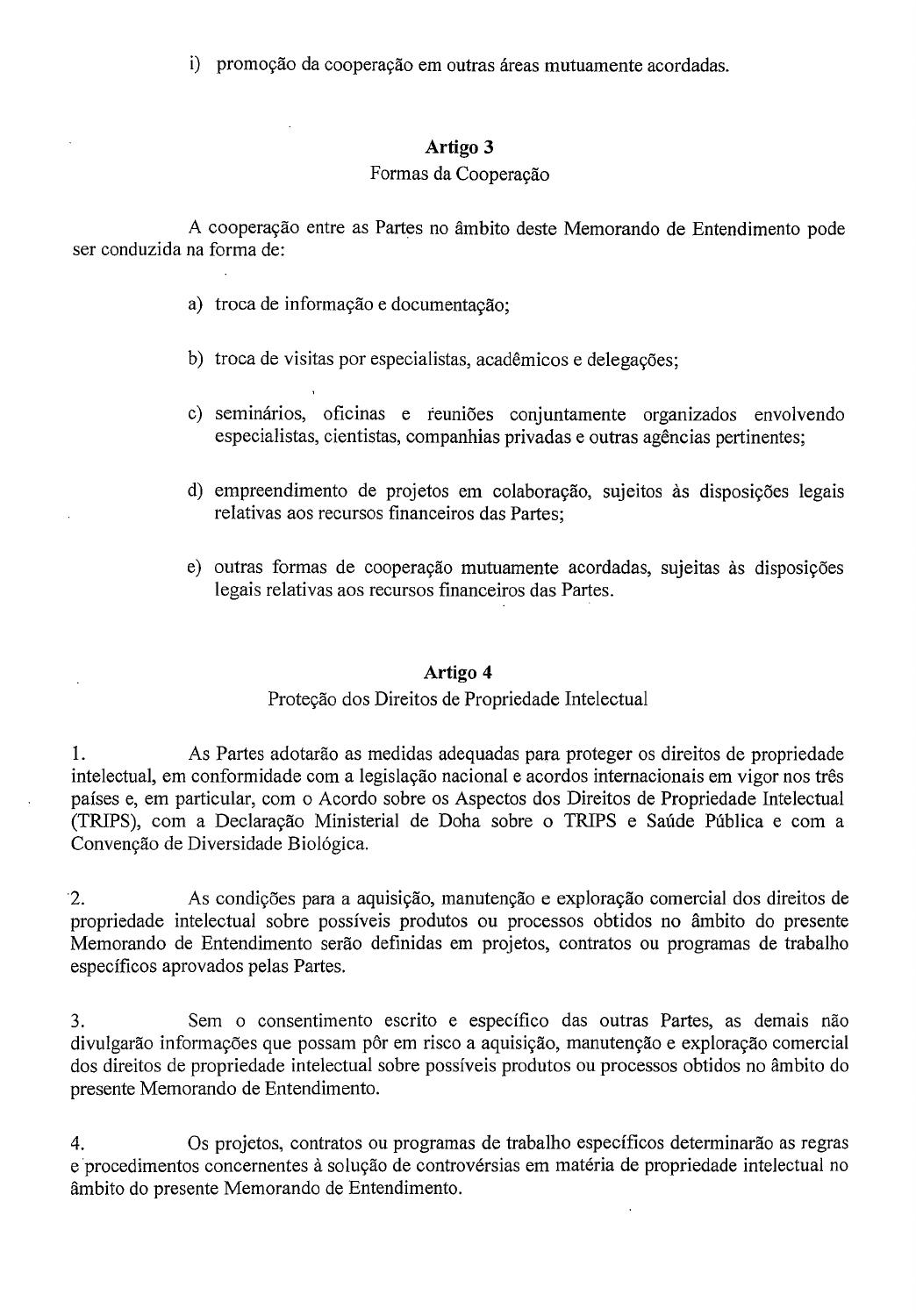i) promoção da cooperação em outras áreas mutuamente acordadas.

#### **Artigo 3**

#### Formas da Cooperação

A cooperação entre as Partes no âmbito deste Memorando de Entendimento pode ser conduzida na forma de:

- a) troca de informação e documentação;
- b) troca de visitas por especialistas, acadêmicos e delegações;
- c) seminários, oficinas e reuniões conjuntamente organizados envolvendo especialistas, cientistas, companhias privadas e outras agências pertinentes;
- d) empreendimento de projetos em colaboração, sujeitos às disposições legais relativas aos recursos financeiros das Partes;
- e) outras formas de cooperação mutuamente acordadas, sujeitas às disposições legais relativas aos recursos financeiros das Partes.

#### **Artigo 4**

### Proteção dos Direitos de Propriedade Intelectual

I. As Partes adotarao as medidas adequadas para proteger as direitos de propriedade intelectual, em conformidade com a legislação nacional e acordos internacionais em vigor nos três paises e, em particular, com <sup>0</sup> Acordo sobre as Aspectos dos Direitos de Propriedade Intelectual (TRIPS), com a Declaração Ministerial de Doha sobre o TRIPS e Saúde Pública e com a Convenção de Diversidade Biológica.

2. As condições para a aquisição, manutenção e exploração comercial dos direitos de propriedade intelectual sobre possiveis produtos ou processos obtidos no ambito do presente Memorando de Entendimento serao definidas em projetos, contratos au programas de trabalho especificos aprovados pelas Partes.

3. Sem a consentimento escrito e especifico das outras Partes, as demais nao divulgarão informações que possam pôr em risco a aquisição, manutenção e exploração comercial dos direitos de propriedade intelectual sobre possiveis produtos ou processos obtidos no ambito do presente Memorando de Entendimento.

4. as projetos, contratos ou programas de trabalho especificos determinarao as regras e procedimentos concernentes à solução de controvérsias em matéria de propriedade intelectual no ambito do presente Memorando de Entendimento.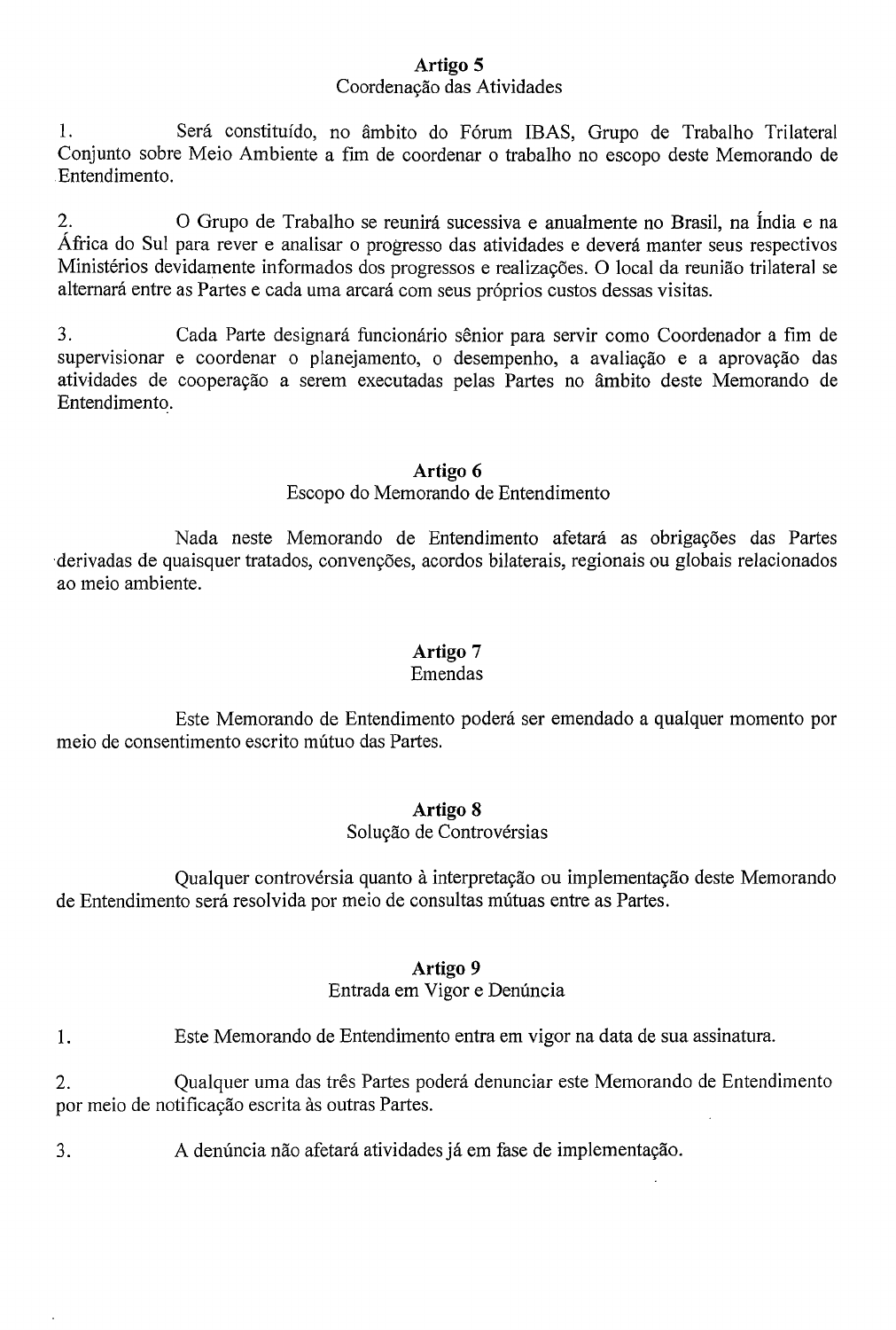### **Artigo 5**

### Coordenação das Atividades

1. Será constituído, no âmbito do Fórum IBAS, Grupo de Trabalho Trilateral Conjunto sobre Meio Ambiente a fim de coordenar 0 trabalho no escopo deste Memorando de .Entendimento.

2. O Grupo de Trabalho se reunirá sucessiva e anualmente no Brasil, na Índia e na Africa do Sui para rever e analisar 0 progresso das atividades e devera manter seus respectivos Ministérios devidamente informados dos progressos e realizações. O local da reunião trilateral se alternará entre as Partes e cada uma arcará com seus próprios custos dessas visitas.

3. Cada Parte designara funcionario senior para servir como Coordenador a fim de supervisionar e coordenar o planejamento, o desempenho, a avaliação e a aprovação das atividades de cooperayao a serem executadas pelas Partes no ambito deste Memorando de Entendimento.

### **Artigo 6**

### Escopo do Memorando de Entendimento

Nada neste Memorando de Entendimento afetará as obrigações das Partes derivadas de quaisquer tratados, convenções, acordos bilaterais, regionais ou globais relacionados ao meio ambiente.

### **Artigo** 7

#### Emendas

Este Memorando de Entendimento podera ser emendado a qualquer momento por meio de consentimento escrito mútuo das Partes.

### **Artigo 8**

### Solução de Controvérsias

Qualquer controvérsia quanto à interpretação ou implementação deste Memorando de Entendimento será resolvida por meio de consultas mútuas entre as Partes.

#### **Artigo 9**

### Entrada em Vigor e Denúncia

1. Este Memorando de Entendimento entra em vigor na data de sua assinatura.

2. Qualquer uma das três Partes poderá denunciar este Memorando de Entendimento por meio de notificação escrita às outras Partes.

3. A denúncia não afetará atividades já em fase de implementação.